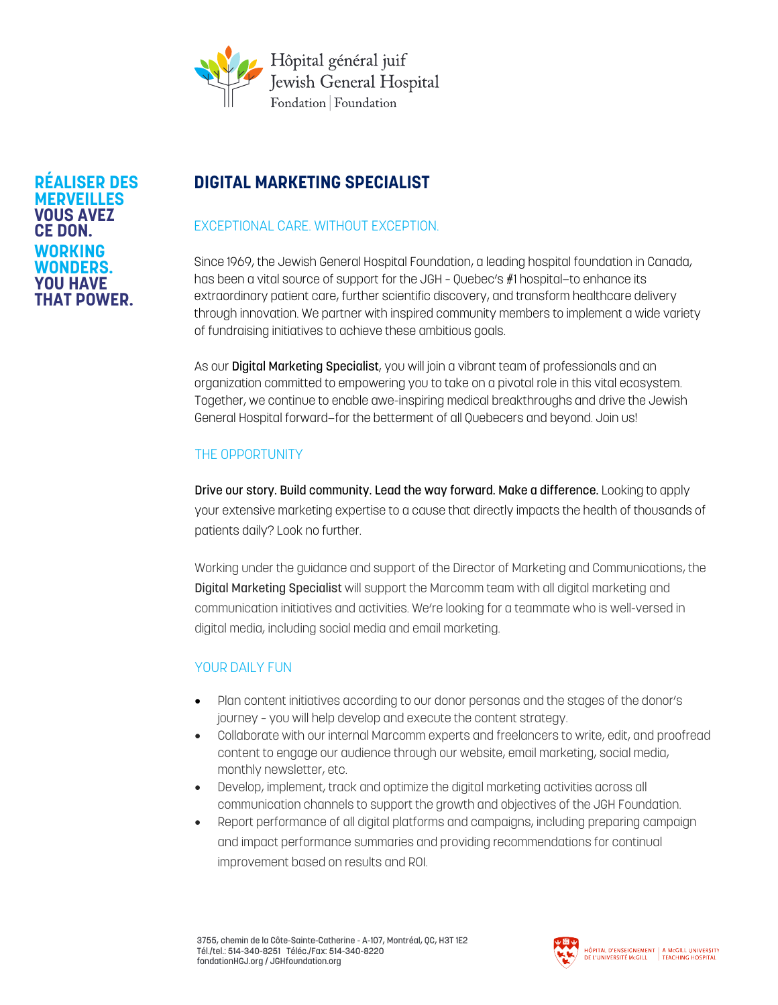

#### **RÉALISER DES MERVEILLES VOUS AVEZ CE DON. WORKING WONDERS. YOU HAVE THAT POWER.**

# **DIGITAL MARKETING SPECIALIST**

## EXCEPTIONAL CARE. WITHOUT EXCEPTION.

Since 1969, the Jewish General Hospital Foundation, a leading hospital foundation in Canada, has been a vital source of support for the JGH – Quebec's #1 hospital—to enhance its extraordinary patient care, further scientific discovery, and transform healthcare delivery through innovation. We partner with inspired community members to implement a wide variety of fundraising initiatives to achieve these ambitious goals.

As our **Digital Marketing Specialist**, you will join a vibrant team of professionals and an organization committed to empowering you to take on a pivotal role in this vital ecosystem. Together, we continue to enable awe-inspiring medical breakthroughs and drive the Jewish General Hospital forward—for the betterment of all Quebecers and beyond. Join us!

# THE OPPORTUNITY

Drive our story. Build community. Lead the way forward. Make a difference. Looking to apply your extensive marketing expertise to a cause that directly impacts the health of thousands of patients daily? Look no further.

Working under the guidance and support of the Director of Marketing and Communications, the Digital Marketing Specialist will support the Marcomm team with all digital marketing and communication initiatives and activities. We're looking for a teammate who is well-versed in digital media, including social media and email marketing.

## YOUR DAILY FUN

- Plan content initiatives according to our donor personas and the stages of the donor's journey – you will help develop and execute the content strategy.
- Collaborate with our internal Marcomm experts and freelancers to write, edit, and proofread content to engage our audience through our website, email marketing, social media, monthly newsletter, etc.
- Develop, implement, track and optimize the digital marketing activities across all communication channels to support the growth and objectives of the JGH Foundation.
- Report performance of all digital platforms and campaigns, including preparing campaign and impact performance summaries and providing recommendations for continual improvement based on results and ROI.

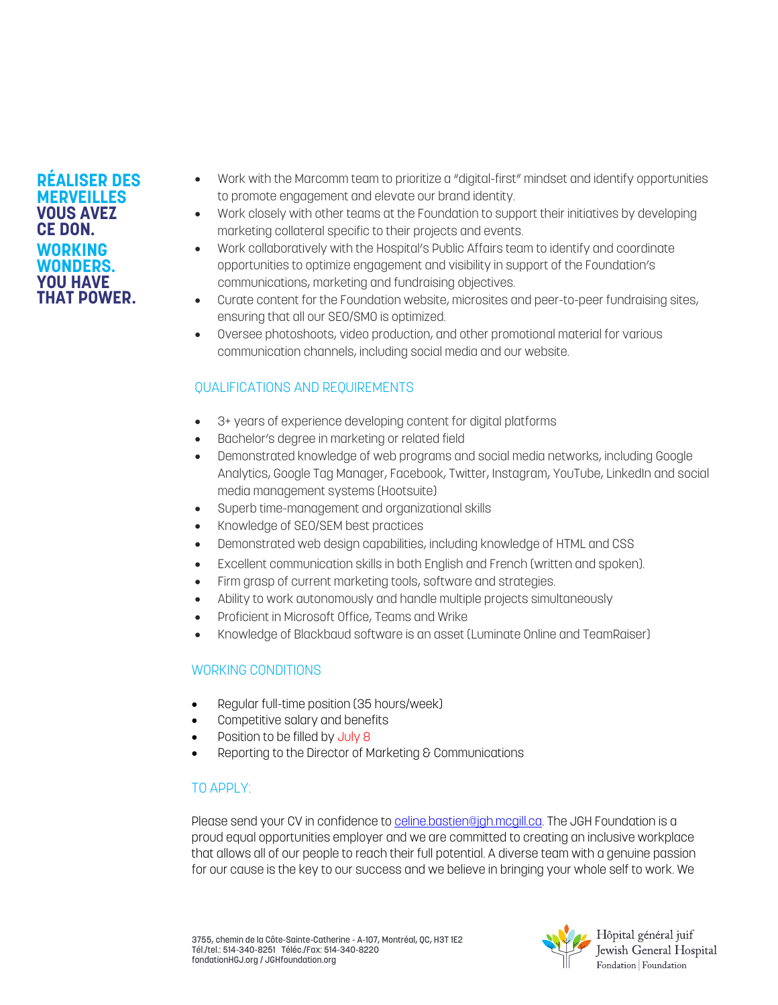#### **RÉALISER DES MERVEILLES VOUS AVEZ CE DON. WORKING WONDERS. YOU HAVE THAT POWER.**

- Work with the Marcomm team to prioritize a "digital-first" mindset and identify opportunities to promote engagement and elevate our brand identity.
- Work closely with other teams at the Foundation to support their initiatives by developing marketing collateral specific to their projects and events.
- Work collaboratively with the Hospital's Public Affairs team to identify and coordinate opportunities to optimize engagement and visibility in support of the Foundation's communications, marketing and fundraising objectives.
- Curate content for the Foundation website, microsites and peer-to-peer fundraising sites, ensuring that all our SEO/SMO is optimized.
- Oversee photoshoots, video production, and other promotional material for various communication channels, including social media and our website.

# QUALIFICATIONS AND REQUIREMENTS

- 3+ years of experience developing content for digital platforms
- Bachelor's degree in marketing or related field
- Demonstrated knowledge of web programs and social media networks, including Google Analytics, Google Tag Manager, Facebook, Twitter, Instagram, YouTube, LinkedIn and social media management systems (Hootsuite)
- Superb time-management and organizational skills
- Knowledge of SEO/SEM best practices
- Demonstrated web design capabilities, including knowledge of HTML and CSS
- Excellent communication skills in both English and French (written and spoken).
- Firm grasp of current marketing tools, software and strategies.
- Ability to work autonomously and handle multiple projects simultaneously
- Proficient in Microsoft Office, Teams and Wrike
- Knowledge of Blackbaud software is an asset (Luminate Online and TeamRaiser)

## WORKING CONDITIONS

- Regular full-time position (35 hours/week)
- Competitive salary and benefits
- Position to be filled by July 8
- Reporting to the Director of Marketing & Communications

#### TO APPLY:

Please send your CV in confidence t[o celine.bastien@jgh.mcgill.ca.](mailto:celine.bastien@jgh.mcgill.ca) The JGH Foundation is a proud equal opportunities employer and we are committed to creating an inclusive workplace that allows all of our people to reach their full potential. A diverse team with a genuine passion for our cause is the key to our success and we believe in bringing your whole self to work. We